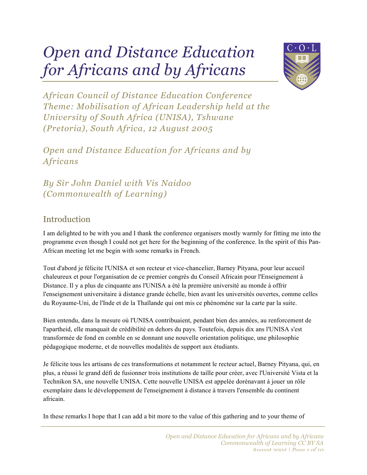# *Open and Distance Education for Africans and by Africans*



*African Council of Distance Education Conference Theme: Mobilisation of African Leadership held at the University of South Africa (UNISA), Tshwane (Pretoria), South Africa, 12 August 2005*

*Open and Distance Education for Africans and by Africans*

*By Sir John Daniel with Vis Naidoo (Commonwealth of Learning)*

## Introduction

I am delighted to be with you and I thank the conference organisers mostly warmly for fitting me into the programme even though I could not get here for the beginning of the conference. In the spirit of this Pan-African meeting let me begin with some remarks in French.

Tout d'abord je félicite l'UNISA et son recteur et vice-chancelier, Barney Pityana, pour leur accueil chaleureux et pour l'organisation de ce premier congrès du Conseil Africain pour l'Enseignement à Distance. Il y a plus de cinquante ans l'UNISA a été la première université au monde à offrir l'enseignement universitaire à distance grande échelle, bien avant les universités ouvertes, comme celles du Royaume-Uni, de l'Inde et de la Thaïlande qui ont mis ce phénomène sur la carte par la suite.

Bien entendu, dans la mesure où l'UNISA contribuaient, pendant bien des années, au renforcement de l'apartheid, elle manquait de crédibilité en dehors du pays. Toutefois, depuis dix ans l'UNISA s'est transformée de fond en comble en se donnant une nouvelle orientation politique, une philosophie pédagogique moderne, et de nouvelles modalités de support aux étudiants.

Je félicite tous les artisans de ces transformations et notamment le recteur actuel, Barney Pityana, qui, en plus, a réussi le grand défi de fusionner trois institutions de taille pour créer, avec l'Université Vista et la Technikon SA, une nouvelle UNISA. Cette nouvelle UNISA est appelée dorénavant à jouer un rôle exemplaire dans le développement de l'enseignement à distance à travers l'ensemble du continent africain.

In these remarks I hope that I can add a bit more to the value of this gathering and to your theme of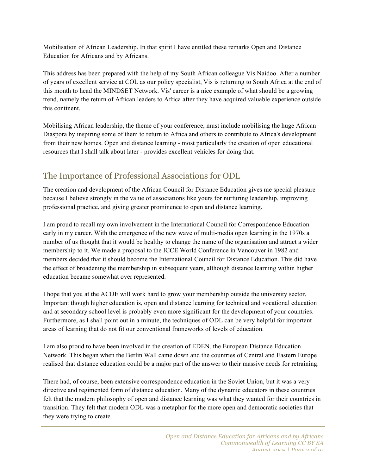Mobilisation of African Leadership. In that spirit I have entitled these remarks Open and Distance Education for Africans and by Africans.

This address has been prepared with the help of my South African colleague Vis Naidoo. After a number of years of excellent service at COL as our policy specialist, Vis is returning to South Africa at the end of this month to head the MINDSET Network. Vis' career is a nice example of what should be a growing trend, namely the return of African leaders to Africa after they have acquired valuable experience outside this continent.

Mobilising African leadership, the theme of your conference, must include mobilising the huge African Diaspora by inspiring some of them to return to Africa and others to contribute to Africa's development from their new homes. Open and distance learning - most particularly the creation of open educational resources that I shall talk about later - provides excellent vehicles for doing that.

## The Importance of Professional Associations for ODL

The creation and development of the African Council for Distance Education gives me special pleasure because I believe strongly in the value of associations like yours for nurturing leadership, improving professional practice, and giving greater prominence to open and distance learning.

I am proud to recall my own involvement in the International Council for Correspondence Education early in my career. With the emergence of the new wave of multi-media open learning in the 1970s a number of us thought that it would be healthy to change the name of the organisation and attract a wider membership to it. We made a proposal to the ICCE World Conference in Vancouver in 1982 and members decided that it should become the International Council for Distance Education. This did have the effect of broadening the membership in subsequent years, although distance learning within higher education became somewhat over represented.

I hope that you at the ACDE will work hard to grow your membership outside the university sector. Important though higher education is, open and distance learning for technical and vocational education and at secondary school level is probably even more significant for the development of your countries. Furthermore, as I shall point out in a minute, the techniques of ODL can be very helpful for important areas of learning that do not fit our conventional frameworks of levels of education.

I am also proud to have been involved in the creation of EDEN, the European Distance Education Network. This began when the Berlin Wall came down and the countries of Central and Eastern Europe realised that distance education could be a major part of the answer to their massive needs for retraining.

There had, of course, been extensive correspondence education in the Soviet Union, but it was a very directive and regimented form of distance education. Many of the dynamic educators in these countries felt that the modern philosophy of open and distance learning was what they wanted for their countries in transition. They felt that modern ODL was a metaphor for the more open and democratic societies that they were trying to create.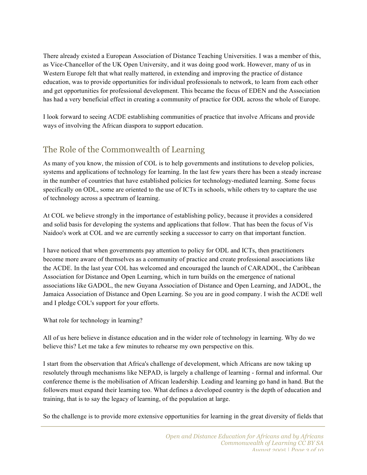There already existed a European Association of Distance Teaching Universities. I was a member of this, as Vice-Chancellor of the UK Open University, and it was doing good work. However, many of us in Western Europe felt that what really mattered, in extending and improving the practice of distance education, was to provide opportunities for individual professionals to network, to learn from each other and get opportunities for professional development. This became the focus of EDEN and the Association has had a very beneficial effect in creating a community of practice for ODL across the whole of Europe.

I look forward to seeing ACDE establishing communities of practice that involve Africans and provide ways of involving the African diaspora to support education.

# The Role of the Commonwealth of Learning

As many of you know, the mission of COL is to help governments and institutions to develop policies, systems and applications of technology for learning. In the last few years there has been a steady increase in the number of countries that have established policies for technology-mediated learning. Some focus specifically on ODL, some are oriented to the use of ICTs in schools, while others try to capture the use of technology across a spectrum of learning.

At COL we believe strongly in the importance of establishing policy, because it provides a considered and solid basis for developing the systems and applications that follow. That has been the focus of Vis Naidoo's work at COL and we are currently seeking a successor to carry on that important function.

I have noticed that when governments pay attention to policy for ODL and ICTs, then practitioners become more aware of themselves as a community of practice and create professional associations like the ACDE. In the last year COL has welcomed and encouraged the launch of CARADOL, the Caribbean Association for Distance and Open Learning, which in turn builds on the emergence of national associations like GADOL, the new Guyana Association of Distance and Open Learning, and JADOL, the Jamaica Association of Distance and Open Learning. So you are in good company. I wish the ACDE well and I pledge COL's support for your efforts.

What role for technology in learning?

All of us here believe in distance education and in the wider role of technology in learning. Why do we believe this? Let me take a few minutes to rehearse my own perspective on this.

I start from the observation that Africa's challenge of development, which Africans are now taking up resolutely through mechanisms like NEPAD, is largely a challenge of learning - formal and informal. Our conference theme is the mobilisation of African leadership. Leading and learning go hand in hand. But the followers must expand their learning too. What defines a developed country is the depth of education and training, that is to say the legacy of learning, of the population at large.

So the challenge is to provide more extensive opportunities for learning in the great diversity of fields that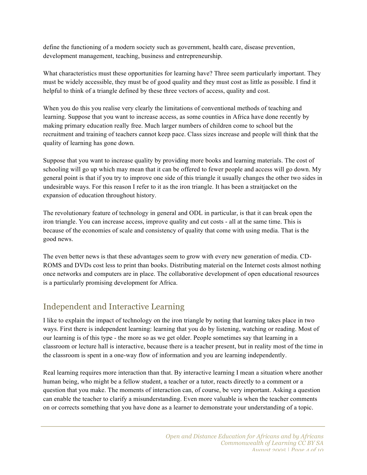define the functioning of a modern society such as government, health care, disease prevention, development management, teaching, business and entrepreneurship.

What characteristics must these opportunities for learning have? Three seem particularly important. They must be widely accessible, they must be of good quality and they must cost as little as possible. I find it helpful to think of a triangle defined by these three vectors of access, quality and cost.

When you do this you realise very clearly the limitations of conventional methods of teaching and learning. Suppose that you want to increase access, as some counties in Africa have done recently by making primary education really free. Much larger numbers of children come to school but the recruitment and training of teachers cannot keep pace. Class sizes increase and people will think that the quality of learning has gone down.

Suppose that you want to increase quality by providing more books and learning materials. The cost of schooling will go up which may mean that it can be offered to fewer people and access will go down. My general point is that if you try to improve one side of this triangle it usually changes the other two sides in undesirable ways. For this reason I refer to it as the iron triangle. It has been a straitjacket on the expansion of education throughout history.

The revolutionary feature of technology in general and ODL in particular, is that it can break open the iron triangle. You can increase access, improve quality and cut costs - all at the same time. This is because of the economies of scale and consistency of quality that come with using media. That is the good news.

The even better news is that these advantages seem to grow with every new generation of media. CD-ROMS and DVDs cost less to print than books. Distributing material on the Internet costs almost nothing once networks and computers are in place. The collaborative development of open educational resources is a particularly promising development for Africa.

## Independent and Interactive Learning

I like to explain the impact of technology on the iron triangle by noting that learning takes place in two ways. First there is independent learning: learning that you do by listening, watching or reading. Most of our learning is of this type - the more so as we get older. People sometimes say that learning in a classroom or lecture hall is interactive, because there is a teacher present, but in reality most of the time in the classroom is spent in a one-way flow of information and you are learning independently.

Real learning requires more interaction than that. By interactive learning I mean a situation where another human being, who might be a fellow student, a teacher or a tutor, reacts directly to a comment or a question that you make. The moments of interaction can, of course, be very important. Asking a question can enable the teacher to clarify a misunderstanding. Even more valuable is when the teacher comments on or corrects something that you have done as a learner to demonstrate your understanding of a topic.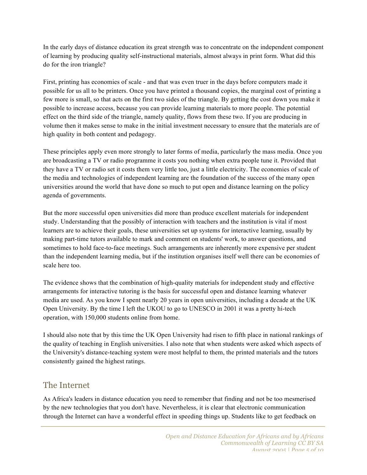In the early days of distance education its great strength was to concentrate on the independent component of learning by producing quality self-instructional materials, almost always in print form. What did this do for the iron triangle?

First, printing has economies of scale - and that was even truer in the days before computers made it possible for us all to be printers. Once you have printed a thousand copies, the marginal cost of printing a few more is small, so that acts on the first two sides of the triangle. By getting the cost down you make it possible to increase access, because you can provide learning materials to more people. The potential effect on the third side of the triangle, namely quality, flows from these two. If you are producing in volume then it makes sense to make in the initial investment necessary to ensure that the materials are of high quality in both content and pedagogy.

These principles apply even more strongly to later forms of media, particularly the mass media. Once you are broadcasting a TV or radio programme it costs you nothing when extra people tune it. Provided that they have a TV or radio set it costs them very little too, just a little electricity. The economies of scale of the media and technologies of independent learning are the foundation of the success of the many open universities around the world that have done so much to put open and distance learning on the policy agenda of governments.

But the more successful open universities did more than produce excellent materials for independent study. Understanding that the possibly of interaction with teachers and the institution is vital if most learners are to achieve their goals, these universities set up systems for interactive learning, usually by making part-time tutors available to mark and comment on students' work, to answer questions, and sometimes to hold face-to-face meetings. Such arrangements are inherently more expensive per student than the independent learning media, but if the institution organises itself well there can be economies of scale here too.

The evidence shows that the combination of high-quality materials for independent study and effective arrangements for interactive tutoring is the basis for successful open and distance learning whatever media are used. As you know I spent nearly 20 years in open universities, including a decade at the UK Open University. By the time I left the UKOU to go to UNESCO in 2001 it was a pretty hi-tech operation, with 150,000 students online from home.

I should also note that by this time the UK Open University had risen to fifth place in national rankings of the quality of teaching in English universities. I also note that when students were asked which aspects of the University's distance-teaching system were most helpful to them, the printed materials and the tutors consistently gained the highest ratings.

#### The Internet

As Africa's leaders in distance education you need to remember that finding and not be too mesmerised by the new technologies that you don't have. Nevertheless, it is clear that electronic communication through the Internet can have a wonderful effect in speeding things up. Students like to get feedback on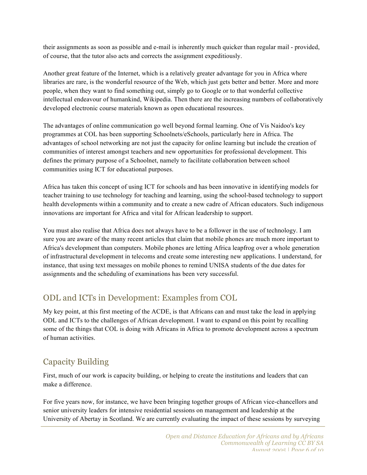their assignments as soon as possible and e-mail is inherently much quicker than regular mail - provided, of course, that the tutor also acts and corrects the assignment expeditiously.

Another great feature of the Internet, which is a relatively greater advantage for you in Africa where libraries are rare, is the wonderful resource of the Web, which just gets better and better. More and more people, when they want to find something out, simply go to Google or to that wonderful collective intellectual endeavour of humankind, Wikipedia. Then there are the increasing numbers of collaboratively developed electronic course materials known as open educational resources.

The advantages of online communication go well beyond formal learning. One of Vis Naidoo's key programmes at COL has been supporting Schoolnets/eSchools, particularly here in Africa. The advantages of school networking are not just the capacity for online learning but include the creation of communities of interest amongst teachers and new opportunities for professional development. This defines the primary purpose of a Schoolnet, namely to facilitate collaboration between school communities using ICT for educational purposes.

Africa has taken this concept of using ICT for schools and has been innovative in identifying models for teacher training to use technology for teaching and learning, using the school-based technology to support health developments within a community and to create a new cadre of African educators. Such indigenous innovations are important for Africa and vital for African leadership to support.

You must also realise that Africa does not always have to be a follower in the use of technology. I am sure you are aware of the many recent articles that claim that mobile phones are much more important to Africa's development than computers. Mobile phones are letting Africa leapfrog over a whole generation of infrastructural development in telecoms and create some interesting new applications. I understand, for instance, that using text messages on mobile phones to remind UNISA students of the due dates for assignments and the scheduling of examinations has been very successful.

## ODL and ICTs in Development: Examples from COL

My key point, at this first meeting of the ACDE, is that Africans can and must take the lead in applying ODL and ICTs to the challenges of African development. I want to expand on this point by recalling some of the things that COL is doing with Africans in Africa to promote development across a spectrum of human activities.

# Capacity Building

First, much of our work is capacity building, or helping to create the institutions and leaders that can make a difference.

For five years now, for instance, we have been bringing together groups of African vice-chancellors and senior university leaders for intensive residential sessions on management and leadership at the University of Abertay in Scotland. We are currently evaluating the impact of these sessions by surveying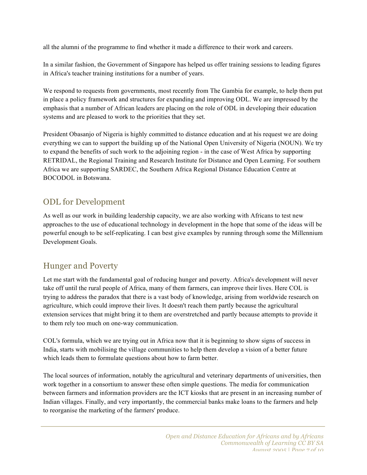all the alumni of the programme to find whether it made a difference to their work and careers.

In a similar fashion, the Government of Singapore has helped us offer training sessions to leading figures in Africa's teacher training institutions for a number of years.

We respond to requests from governments, most recently from The Gambia for example, to help them put in place a policy framework and structures for expanding and improving ODL. We are impressed by the emphasis that a number of African leaders are placing on the role of ODL in developing their education systems and are pleased to work to the priorities that they set.

President Obasanjo of Nigeria is highly committed to distance education and at his request we are doing everything we can to support the building up of the National Open University of Nigeria (NOUN). We try to expand the benefits of such work to the adjoining region - in the case of West Africa by supporting RETRIDAL, the Regional Training and Research Institute for Distance and Open Learning. For southern Africa we are supporting SARDEC, the Southern Africa Regional Distance Education Centre at BOCODOL in Botswana.

## ODL for Development

As well as our work in building leadership capacity, we are also working with Africans to test new approaches to the use of educational technology in development in the hope that some of the ideas will be powerful enough to be self-replicating. I can best give examples by running through some the Millennium Development Goals.

## Hunger and Poverty

Let me start with the fundamental goal of reducing hunger and poverty. Africa's development will never take off until the rural people of Africa, many of them farmers, can improve their lives. Here COL is trying to address the paradox that there is a vast body of knowledge, arising from worldwide research on agriculture, which could improve their lives. It doesn't reach them partly because the agricultural extension services that might bring it to them are overstretched and partly because attempts to provide it to them rely too much on one-way communication.

COL's formula, which we are trying out in Africa now that it is beginning to show signs of success in India, starts with mobilising the village communities to help them develop a vision of a better future which leads them to formulate questions about how to farm better.

The local sources of information, notably the agricultural and veterinary departments of universities, then work together in a consortium to answer these often simple questions. The media for communication between farmers and information providers are the ICT kiosks that are present in an increasing number of Indian villages. Finally, and very importantly, the commercial banks make loans to the farmers and help to reorganise the marketing of the farmers' produce.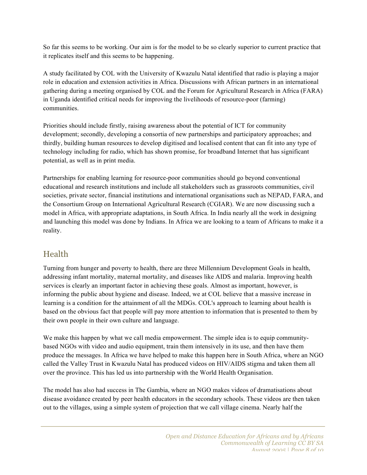So far this seems to be working. Our aim is for the model to be so clearly superior to current practice that it replicates itself and this seems to be happening.

A study facilitated by COL with the University of Kwazulu Natal identified that radio is playing a major role in education and extension activities in Africa. Discussions with African partners in an international gathering during a meeting organised by COL and the Forum for Agricultural Research in Africa (FARA) in Uganda identified critical needs for improving the livelihoods of resource-poor (farming) communities.

Priorities should include firstly, raising awareness about the potential of ICT for community development; secondly, developing a consortia of new partnerships and participatory approaches; and thirdly, building human resources to develop digitised and localised content that can fit into any type of technology including for radio, which has shown promise, for broadband Internet that has significant potential, as well as in print media.

Partnerships for enabling learning for resource-poor communities should go beyond conventional educational and research institutions and include all stakeholders such as grassroots communities, civil societies, private sector, financial institutions and international organisations such as NEPAD, FARA, and the Consortium Group on International Agricultural Research (CGIAR). We are now discussing such a model in Africa, with appropriate adaptations, in South Africa. In India nearly all the work in designing and launching this model was done by Indians. In Africa we are looking to a team of Africans to make it a reality.

## Health

Turning from hunger and poverty to health, there are three Millennium Development Goals in health, addressing infant mortality, maternal mortality, and diseases like AIDS and malaria. Improving health services is clearly an important factor in achieving these goals. Almost as important, however, is informing the public about hygiene and disease. Indeed, we at COL believe that a massive increase in learning is a condition for the attainment of all the MDGs. COL's approach to learning about health is based on the obvious fact that people will pay more attention to information that is presented to them by their own people in their own culture and language.

We make this happen by what we call media empowerment. The simple idea is to equip communitybased NGOs with video and audio equipment, train them intensively in its use, and then have them produce the messages. In Africa we have helped to make this happen here in South Africa, where an NGO called the Valley Trust in Kwazulu Natal has produced videos on HIV/AIDS stigma and taken them all over the province. This has led us into partnership with the World Health Organisation.

The model has also had success in The Gambia, where an NGO makes videos of dramatisations about disease avoidance created by peer health educators in the secondary schools. These videos are then taken out to the villages, using a simple system of projection that we call village cinema. Nearly half the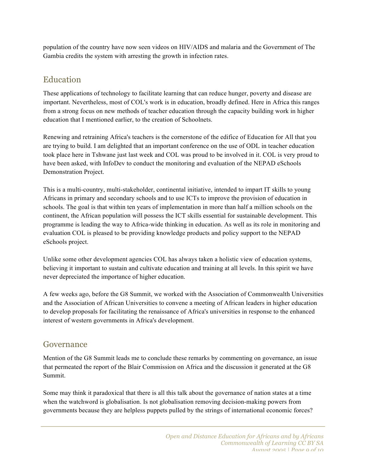population of the country have now seen videos on HIV/AIDS and malaria and the Government of The Gambia credits the system with arresting the growth in infection rates.

## Education

These applications of technology to facilitate learning that can reduce hunger, poverty and disease are important. Nevertheless, most of COL's work is in education, broadly defined. Here in Africa this ranges from a strong focus on new methods of teacher education through the capacity building work in higher education that I mentioned earlier, to the creation of Schoolnets.

Renewing and retraining Africa's teachers is the cornerstone of the edifice of Education for All that you are trying to build. I am delighted that an important conference on the use of ODL in teacher education took place here in Tshwane just last week and COL was proud to be involved in it. COL is very proud to have been asked, with InfoDev to conduct the monitoring and evaluation of the NEPAD eSchools Demonstration Project.

This is a multi-country, multi-stakeholder, continental initiative, intended to impart IT skills to young Africans in primary and secondary schools and to use ICTs to improve the provision of education in schools. The goal is that within ten years of implementation in more than half a million schools on the continent, the African population will possess the ICT skills essential for sustainable development. This programme is leading the way to Africa-wide thinking in education. As well as its role in monitoring and evaluation COL is pleased to be providing knowledge products and policy support to the NEPAD eSchools project.

Unlike some other development agencies COL has always taken a holistic view of education systems, believing it important to sustain and cultivate education and training at all levels. In this spirit we have never depreciated the importance of higher education.

A few weeks ago, before the G8 Summit, we worked with the Association of Commonwealth Universities and the Association of African Universities to convene a meeting of African leaders in higher education to develop proposals for facilitating the renaissance of Africa's universities in response to the enhanced interest of western governments in Africa's development.

#### Governance

Mention of the G8 Summit leads me to conclude these remarks by commenting on governance, an issue that permeated the report of the Blair Commission on Africa and the discussion it generated at the G8 Summit.

Some may think it paradoxical that there is all this talk about the governance of nation states at a time when the watchword is globalisation. Is not globalisation removing decision-making powers from governments because they are helpless puppets pulled by the strings of international economic forces?